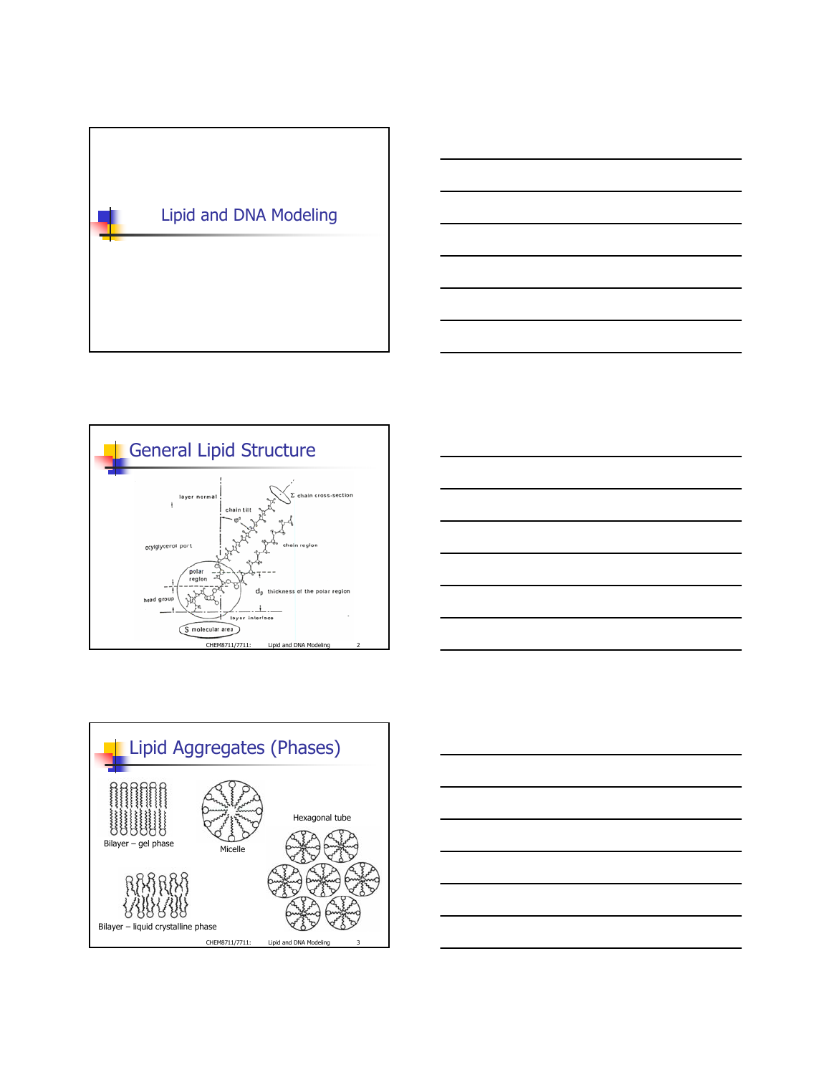







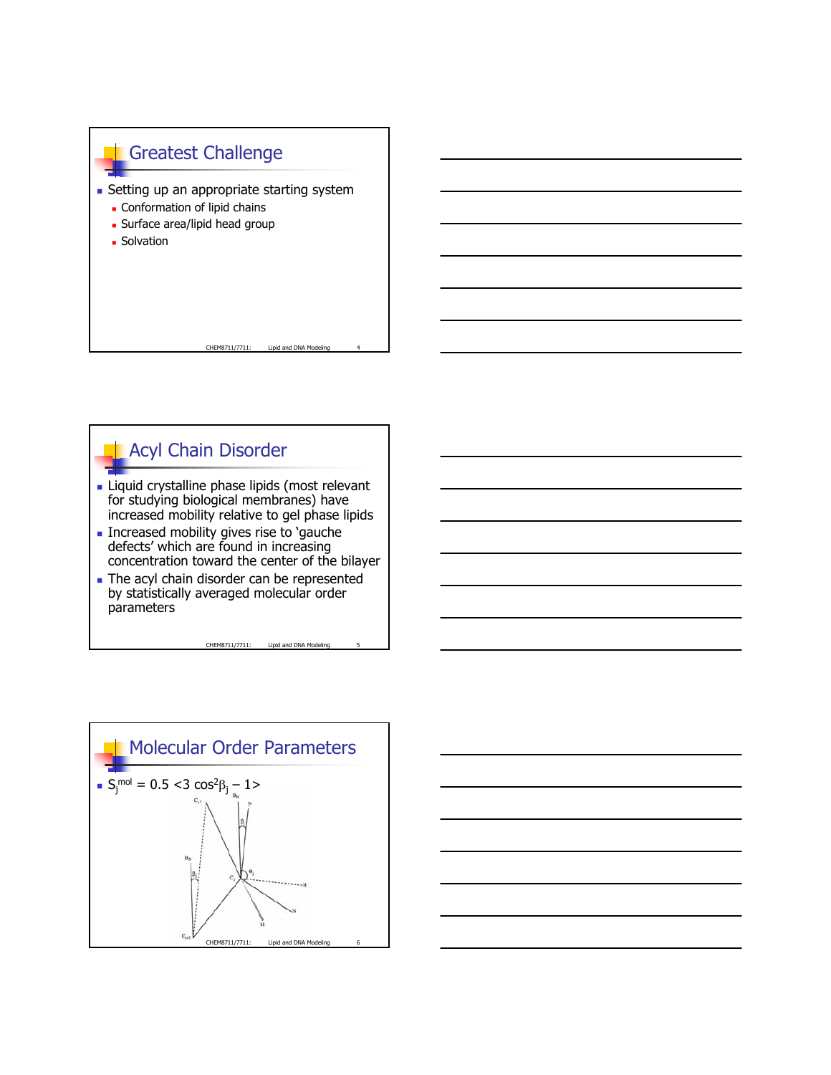



- **Liquid crystalline phase lipids (most relevant** for studying biological membranes) have increased mobility relative to gel phase lipids
- **Increased mobility gives rise to 'gauche'** defects' which are found in increasing concentration toward the center of the bilayer
- The acyl chain disorder can be represented by statistically averaged molecular order parameters



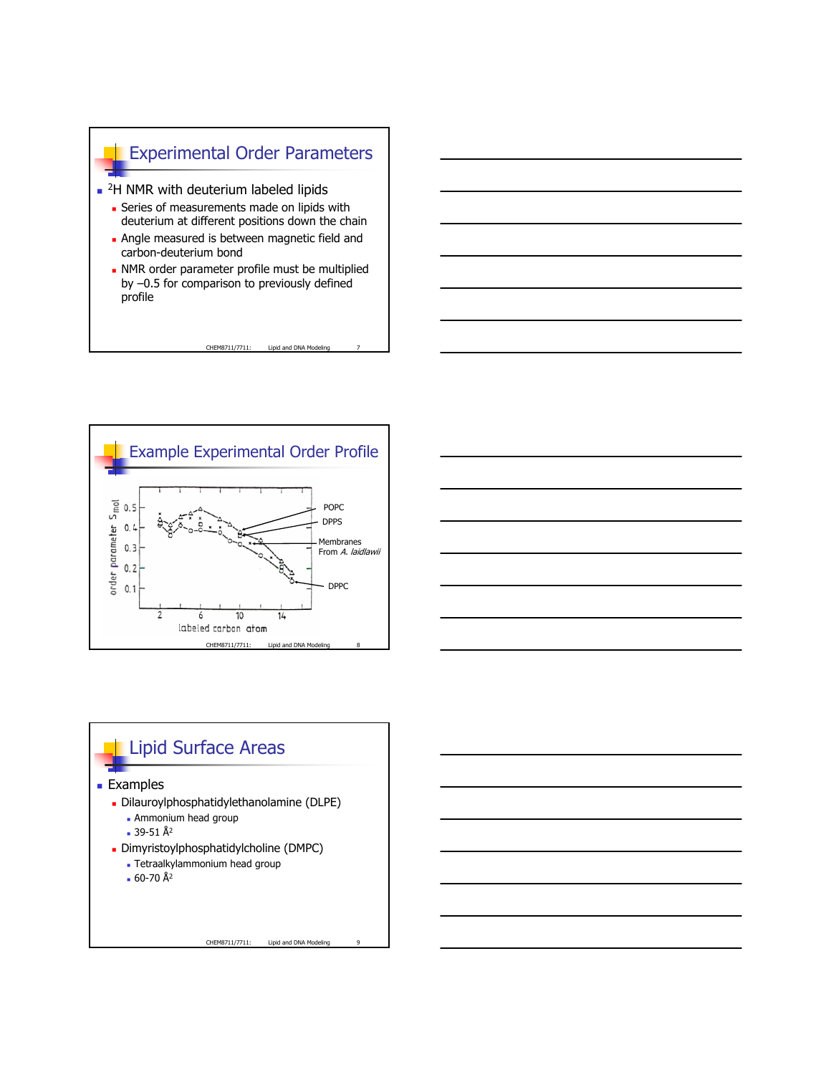





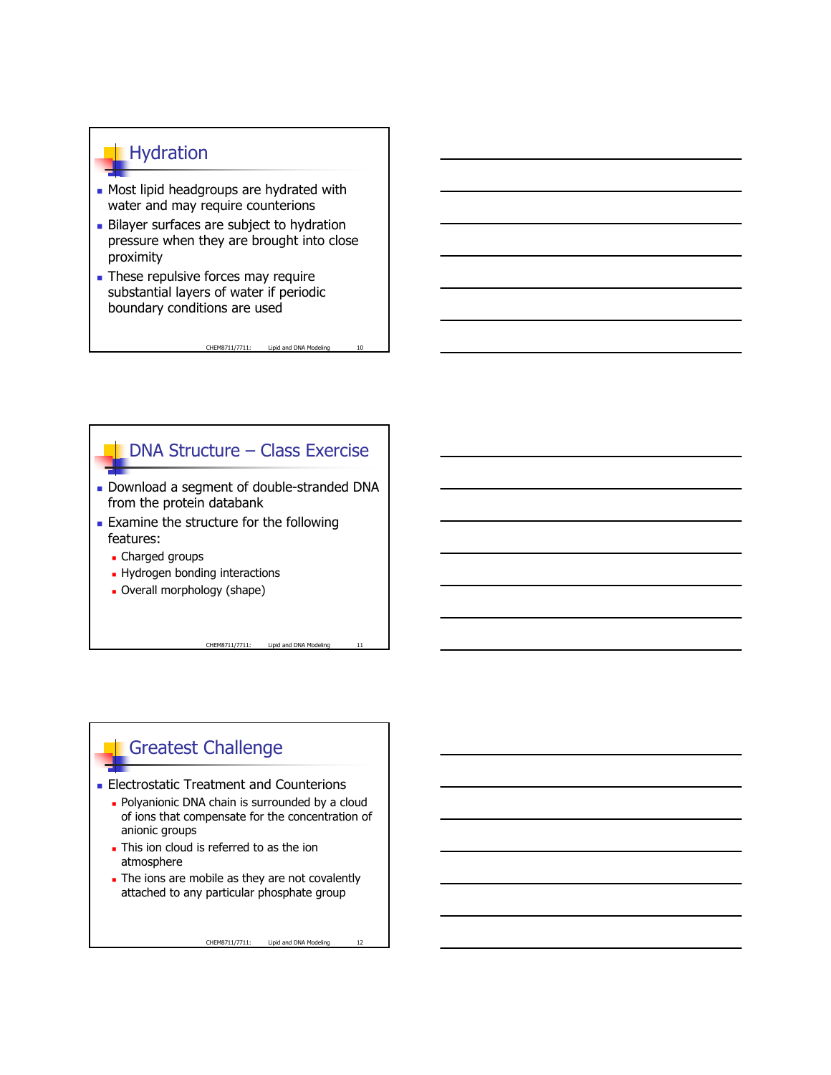## **Hydration**

- **Most lipid headgroups are hydrated with** water and may require counterions
- Bilayer surfaces are subject to hydration pressure when they are brought into close proximity
- These repulsive forces may require substantial layers of water if periodic boundary conditions are used

DNA Structure – Class Exercise

CHEM8711/7711: Lipid and DNA Modeling

- Download a segment of double-stranded DNA from the protein databank
- **Examine the structure for the following** features:
	- Charged groups
	- **Hydrogen bonding interactions**
	- Overall morphology (shape)

Greatest Challenge

- **Electrostatic Treatment and Counterions** 
	- **Polyanionic DNA chain is surrounded by a cloud** of ions that compensate for the concentration of anionic groups
	- This ion cloud is referred to as the ion atmosphere
	- The ions are mobile as they are not covalently attached to any particular phosphate group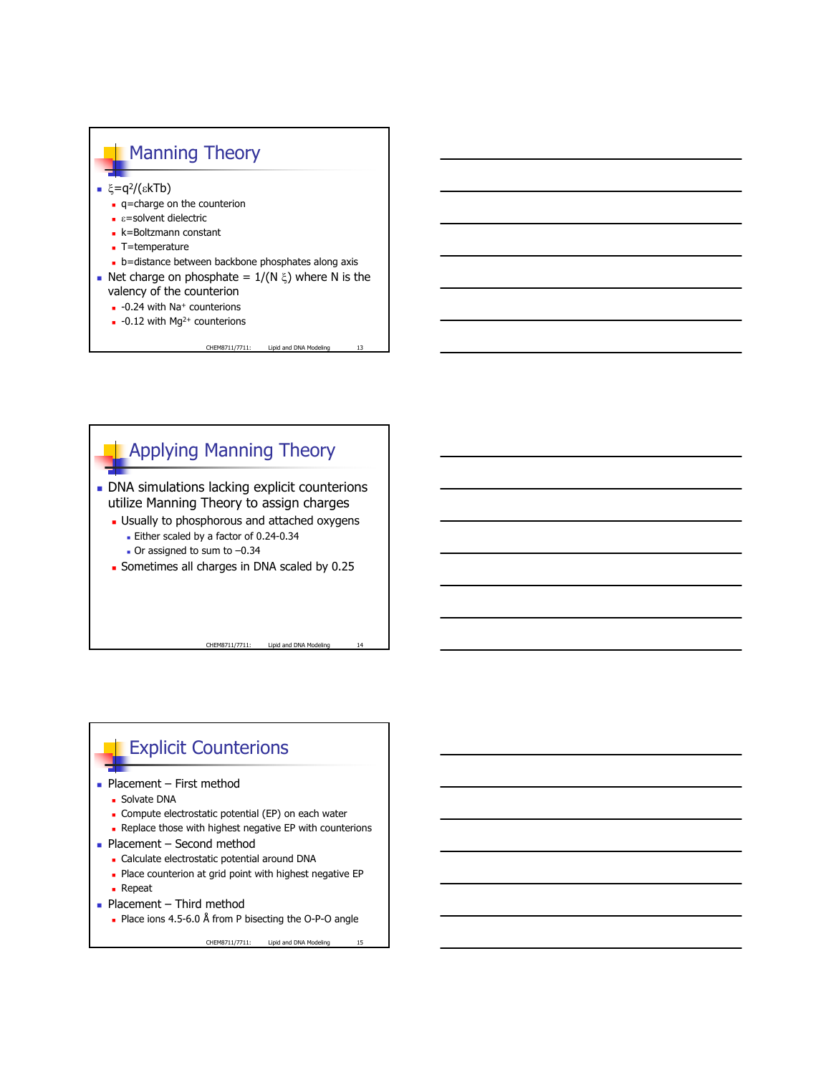



## **Explicit Counterions**

- $\blacksquare$  Placement First method
	- Solvate DNA
	- **-** Compute electrostatic potential (EP) on each water
	- **Replace those with highest negative EP with counterions**
- $\blacksquare$  Placement Second method
	- Calculate electrostatic potential around DNA
	- **Place counterion at grid point with highest negative EP**
	- **Repeat**
- $\blacksquare$  Placement Third method
	- Place ions 4.5-6.0 Å from P bisecting the O-P-O angle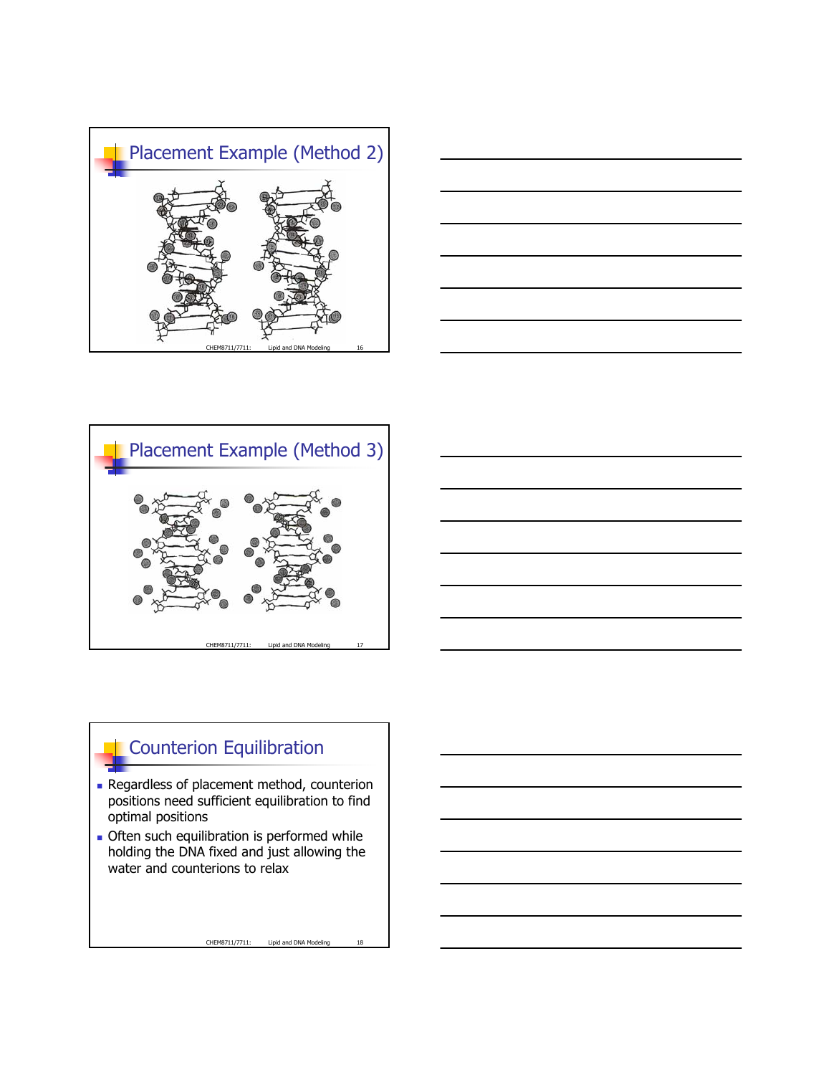







## **Counterion Equilibration**

- **Regardless of placement method, counterion** positions need sufficient equilibration to find optimal positions
- **Often such equilibration is performed while** holding the DNA fixed and just allowing the water and counterions to relax